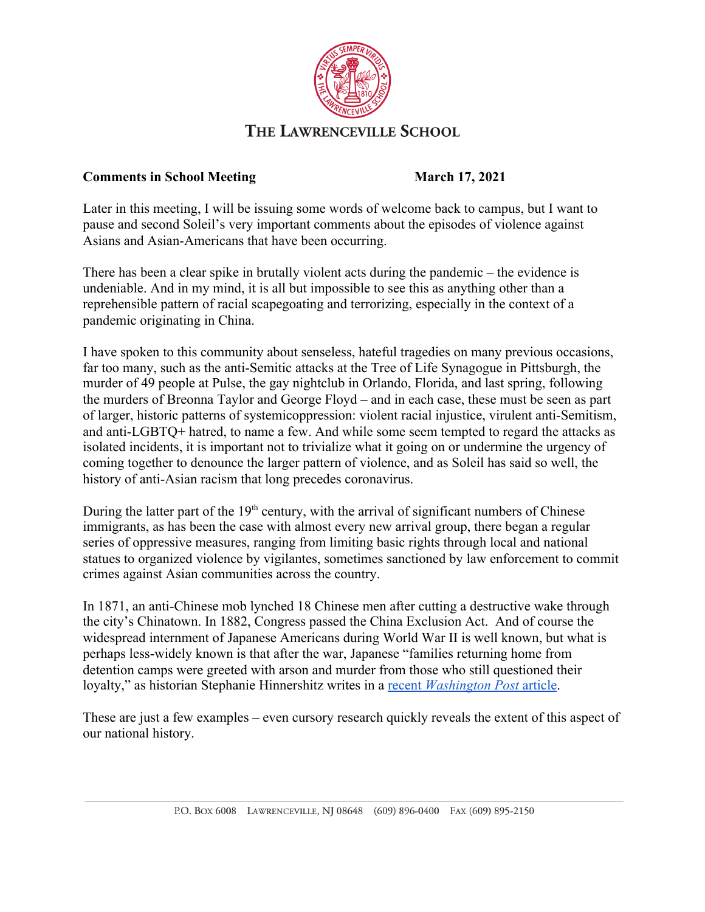

## THE LAWRENCEVILLE SCHOOL

## **Comments in School Meeting March 17, 2021**

Later in this meeting, I will be issuing some words of welcome back to campus, but I want to pause and second Soleil's very important comments about the episodes of violence against Asians and Asian-Americans that have been occurring.

There has been a clear spike in brutally violent acts during the pandemic – the evidence is undeniable. And in my mind, it is all but impossible to see this as anything other than a reprehensible pattern of racial scapegoating and terrorizing, especially in the context of a pandemic originating in China.

I have spoken to this community about senseless, hateful tragedies on many previous occasions, far too many, such as the anti-Semitic attacks at the Tree of Life Synagogue in Pittsburgh, the murder of 49 people at Pulse, the gay nightclub in Orlando, Florida, and last spring, following the murders of Breonna Taylor and George Floyd – and in each case, these must be seen as part of larger, historic patterns of systemicoppression: violent racial injustice, virulent anti-Semitism, and anti-LGBTQ+ hatred, to name a few. And while some seem tempted to regard the attacks as isolated incidents, it is important not to trivialize what it going on or undermine the urgency of coming together to denounce the larger pattern of violence, and as Soleil has said so well, the history of anti-Asian racism that long precedes coronavirus.

During the latter part of the 19<sup>th</sup> century, with the arrival of significant numbers of Chinese immigrants, as has been the case with almost every new arrival group, there began a regular series of oppressive measures, ranging from limiting basic rights through local and national statues to organized violence by vigilantes, sometimes sanctioned by law enforcement to commit crimes against Asian communities across the country.

In 1871, an anti-Chinese mob lynched 18 Chinese men after cutting a destructive wake through the city's Chinatown. In 1882, Congress passed the China Exclusion Act. And of course the widespread internment of Japanese Americans during World War II is well known, but what is perhaps less-widely known is that after the war, Japanese "families returning home from detention camps were greeted with arson and murder from those who still questioned their loyalty," as historian Stephanie Hinnershitz writes in a [recent](https://www.washingtonpost.com/outlook/2021/03/11/violence-against-asian-americans-is-part-troubling-pattern/) *[Washington Post](https://www.washingtonpost.com/outlook/2021/03/11/violence-against-asian-americans-is-part-troubling-pattern/)* [article.](https://www.washingtonpost.com/outlook/2021/03/11/violence-against-asian-americans-is-part-troubling-pattern/)

These are just a few examples – even cursory research quickly reveals the extent of this aspect of our national history.